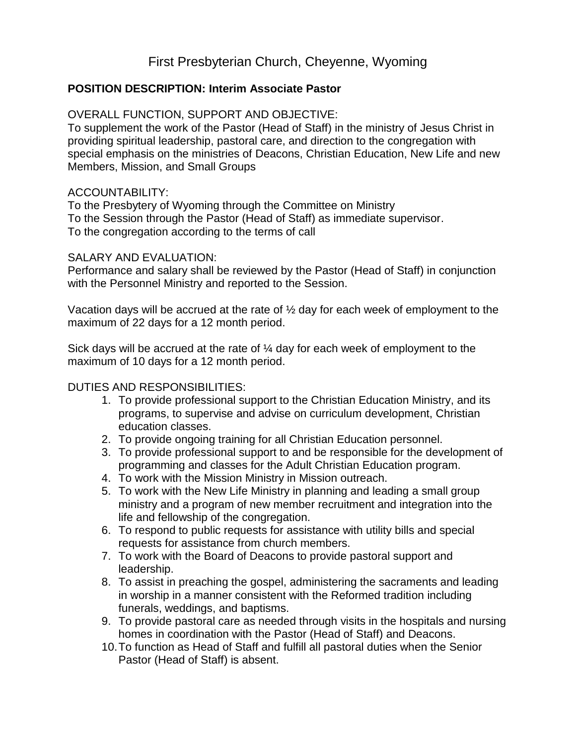# First Presbyterian Church, Cheyenne, Wyoming

# **POSITION DESCRIPTION: Interim Associate Pastor**

## OVERALL FUNCTION, SUPPORT AND OBJECTIVE:

To supplement the work of the Pastor (Head of Staff) in the ministry of Jesus Christ in providing spiritual leadership, pastoral care, and direction to the congregation with special emphasis on the ministries of Deacons, Christian Education, New Life and new Members, Mission, and Small Groups

#### ACCOUNTABILITY:

To the Presbytery of Wyoming through the Committee on Ministry To the Session through the Pastor (Head of Staff) as immediate supervisor. To the congregation according to the terms of call

#### SALARY AND EVALUATION:

Performance and salary shall be reviewed by the Pastor (Head of Staff) in conjunction with the Personnel Ministry and reported to the Session.

Vacation days will be accrued at the rate of ½ day for each week of employment to the maximum of 22 days for a 12 month period.

Sick days will be accrued at the rate of ¼ day for each week of employment to the maximum of 10 days for a 12 month period.

### DUTIES AND RESPONSIBILITIES:

- 1. To provide professional support to the Christian Education Ministry, and its programs, to supervise and advise on curriculum development, Christian education classes.
- 2. To provide ongoing training for all Christian Education personnel.
- 3. To provide professional support to and be responsible for the development of programming and classes for the Adult Christian Education program.
- 4. To work with the Mission Ministry in Mission outreach.
- 5. To work with the New Life Ministry in planning and leading a small group ministry and a program of new member recruitment and integration into the life and fellowship of the congregation.
- 6. To respond to public requests for assistance with utility bills and special requests for assistance from church members.
- 7. To work with the Board of Deacons to provide pastoral support and leadership.
- 8. To assist in preaching the gospel, administering the sacraments and leading in worship in a manner consistent with the Reformed tradition including funerals, weddings, and baptisms.
- 9. To provide pastoral care as needed through visits in the hospitals and nursing homes in coordination with the Pastor (Head of Staff) and Deacons.
- 10.To function as Head of Staff and fulfill all pastoral duties when the Senior Pastor (Head of Staff) is absent.